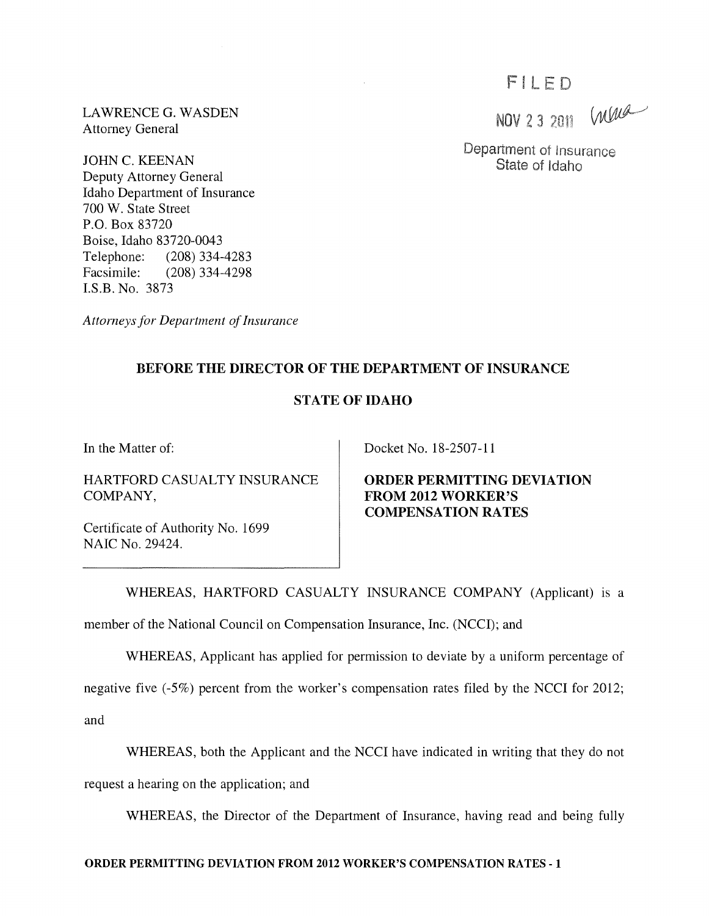# FILED

NOV 2 3 2011 We

Department of Insurance State of Idaho

LAWRENCE G. WASDEN Attorney General

JOHN C. KEENAN Deputy Attorney General Idaho Department of Insurance 700 W. State Street P.O. Box 83720 Boise, Idaho 83720-0043 Telephone: (208) 334-4283<br>Facsimile: (208) 334-4298  $(208)$  334-4298 I.S.B. No. 3873

*Attorneys for Department of Insurance* 

## BEFORE THE DIRECTOR OF THE DEPARTMENT OF INSURANCE

### STATE OF IDAHO

In the Matter of:

HARTFORD CASUALTY INSURANCE COMPANY,

Certificate of Authority No. 1699 NAIC No. 29424.

Docket No. 18-2507-11

ORDER PERMITTING DEVIATION FROM 2012 WORKER'S COMPENSATION RATES

WHEREAS, HARTFORD CASUALTY INSURANCE COMPANY (Applicant) is a

member of the National Council on Compensation Insurance, Inc. (NCCI); and

WHEREAS, Applicant has applied for permission to deviate by a uniform percentage of

negative five (-5%) percent from the worker's compensation rates filed by the NCCI for 2012;

and

WHEREAS, both the Applicant and the NCCI have indicated in writing that they do not

request a hearing on the application; and

WHEREAS, the Director of the Department of Insurance, having read and being fully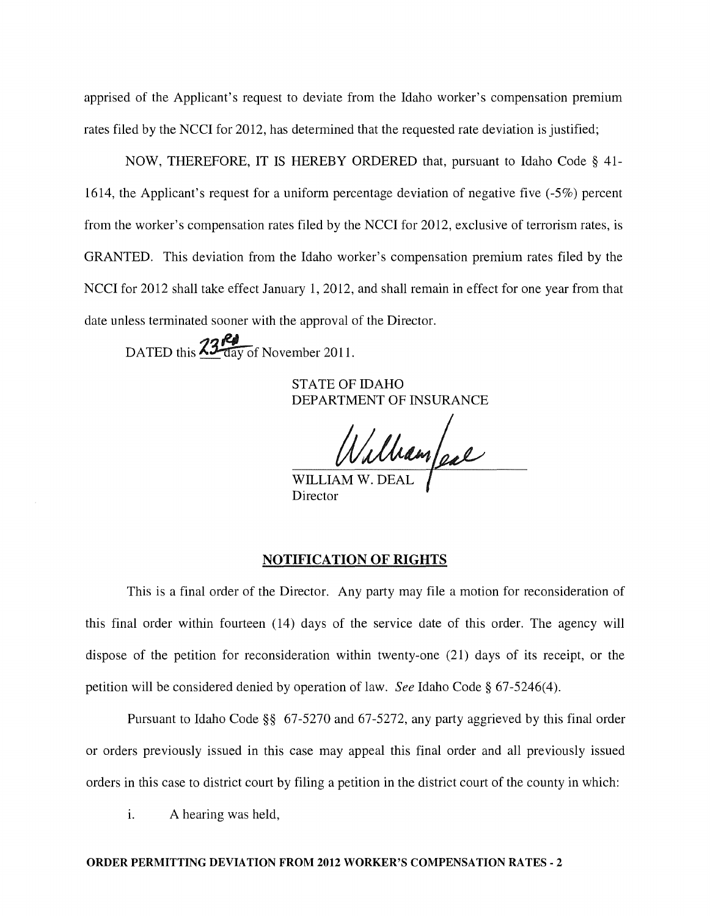apprised of the Applicant's request to deviate from the Idaho worker's compensation premium rates filed by the NCCI for 2012, has determined that the requested rate deviation is justified;

NOW, THEREFORE, IT IS HEREBY ORDERED that, pursuant to Idaho Code § 41- 1614, the Applicant's request for a uniform percentage deviation of negative five (-5%) percent from the worker's compensation rates filed by the NCCI for 2012, exclusive of terrorism rates, is GRANTED. This deviation from the Idaho worker's compensation premium rates filed by the NCCI for 2012 shall take effect January 1, 2012, and shall remain in effect for one year from that date unless terminated sooner with the approval of the Director.

DATED this  $\frac{23}{\sqrt{24}}$  DATED this  $\frac{23}{\sqrt{24}}$  Of November 2011.

STATE OF IDAHO DEPARTMENT OF INSURANCE

WILLIAM W. DEAL

Director

#### NOTIFICATION OF RIGHTS

This is a final order of the Director. Any party may file a motion for reconsideration of this final order within fourteen (14) days of the service date of this order. The agency will dispose of the petition for reconsideration within twenty-one (21) days of its receipt, or the petition will be considered denied by operation of law. *See* Idaho Code § 67-5246(4).

Pursuant to Idaho Code §§ 67-5270 and 67-5272, any party aggrieved by this final order or orders previously issued in this case may appeal this final order and all previously issued orders in this case to district court by filing a petition in the district court of the county in which:

i. A hearing was held,